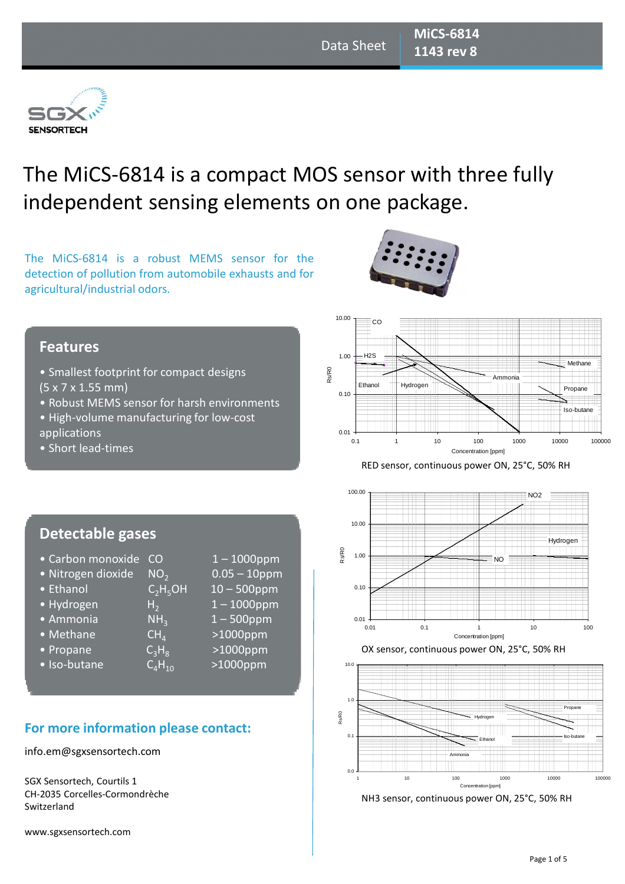

# The MiCS-6814 is a compact MOS sensor with three fully independent sensing elements on one package.

The MiCS-6814 is a robust MEMS sensor for the detection of pollution from automobile exhausts and for agricultural/industrial odors.



#### **Features**

- Smallest footprint for compact designs (5 x 7 x 1.55 mm)
- Robust MEMS sensor for harsh environments
- High-volume manufacturing for low-cost applications
- Short lead-times







• Iso-butane  $C_4H_{10}$  >1000ppm

# **For more information please contact:**

#### info.em@sgxsensortech.com

SGX Sensortech, Courtils 1 CH-2035 Corcelles-Cormondrèche Switzerland

www.sgxsensortech.com







NH3 sensor, continuous power ON, 25°C, 50% RH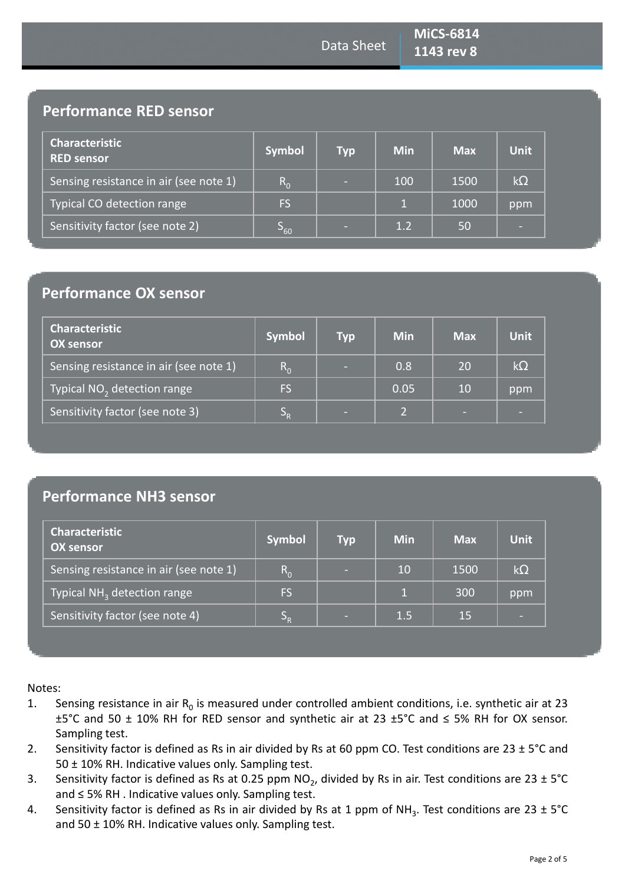# **Performance RED sensor**

| <b>Characteristic</b><br><b>RED sensor</b> | <b>Symbol</b>   | <b>Typ</b> | <b>Min</b>   | <b>Max</b> | <b>Unit</b> |
|--------------------------------------------|-----------------|------------|--------------|------------|-------------|
| Sensing resistance in air (see note 1)     | $R_{0}$         | $\sim$     | 100          | 1500       | $k\Omega$   |
| Typical CO detection range                 | FS.             |            | $\mathbf{1}$ | 1000       | ppm         |
| Sensitivity factor (see note 2)            | ၁ <sub>60</sub> | <b>COL</b> | 1.2          | 50         | -           |

### **Performance OX sensor**

| <b>Characteristic</b><br><b>OX sensor</b> | <b>Symbol</b> | <b>Typ</b> | <b>Min</b>           | <b>Max</b> | <b>Unit</b> |
|-------------------------------------------|---------------|------------|----------------------|------------|-------------|
| Sensing resistance in air (see note 1)    | $R_{0}$       | -          | 0.8                  | 20         | $k\Omega$   |
| Typical NO <sub>2</sub> detection range   | <b>FS</b>     |            | 0.05                 | 10         | ppm         |
| Sensitivity factor (see note 3)           | э.            | -          | $\mathbf{D}_{\perp}$ | $\sim$     |             |

# **Performance NH3 sensor**

| <b>Characteristic</b><br><b>OX sensor</b> | <b>Symbol</b> | <b>Typ</b> | <b>Min</b> | <b>Max</b> | <b>Unit</b> |
|-------------------------------------------|---------------|------------|------------|------------|-------------|
| Sensing resistance in air (see note 1)    | $R_{0}$       | -          | 10         | 1500       | $k\Omega$   |
| Typical NH <sub>3</sub> detection range   | <b>FS</b>     |            |            | 300        | ppm         |
| Sensitivity factor (see note 4)           | $S_{R}$       | -          | 1.5        | 15         |             |

Notes:

- 1. Sensing resistance in air  $R_0$  is measured under controlled ambient conditions, i.e. synthetic air at 23 ±5°C and 50 ± 10% RH for RED sensor and synthetic air at 23 ±5°C and ≤ 5% RH for OX sensor. Sampling test.
- 2. Sensitivity factor is defined as Rs in air divided by Rs at 60 ppm CO. Test conditions are 23  $\pm$  5°C and 50 ± 10% RH. Indicative values only. Sampling test.
- 3. Sensitivity factor is defined as Rs at 0.25 ppm NO<sub>2</sub>, divided by Rs in air. Test conditions are 23  $\pm$  5°C and ≤ 5% RH . Indicative values only. Sampling test.
- 4. Sensitivity factor is defined as Rs in air divided by Rs at 1 ppm of NH<sub>3</sub>. Test conditions are 23  $\pm$  5°C and 50 ± 10% RH. Indicative values only. Sampling test.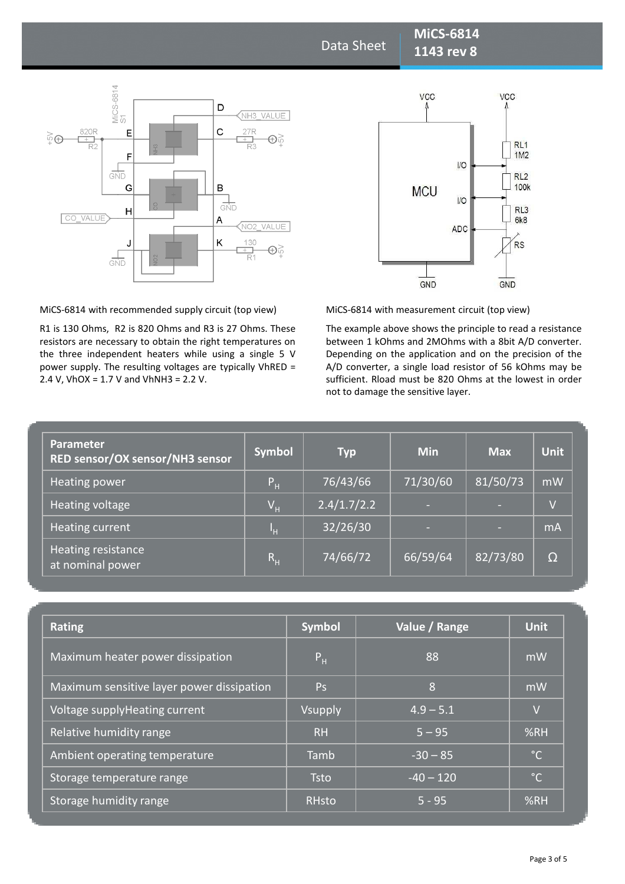Data Sheet

**MiCS-6814 1143 rev 8** 



MiCS-6814 with recommended supply circuit (top view)

R1 is 130 Ohms, R2 is 820 Ohms and R3 is 27 Ohms. These resistors are necessary to obtain the right temperatures on the three independent heaters while using a single 5 V power supply. The resulting voltages are typically VhRED = 2.4 V, VhOX =  $1.7$  V and VhNH3 =  $2.2$  V.



MiCS-6814 with measurement circuit (top view)

The example above shows the principle to read a resistance between 1 kOhms and 2MOhms with a 8bit A/D converter. Depending on the application and on the precision of the A/D converter, a single load resistor of 56 kOhms may be sufficient. Rload must be 820 Ohms at the lowest in order not to damage the sensitive layer.

| <b>Parameter</b><br>RED sensor/OX sensor/NH3 sensor | <b>Symbol</b>             | <b>Typ</b>  | <b>Min</b> | <b>Max</b> | <b>Unit</b>    |
|-----------------------------------------------------|---------------------------|-------------|------------|------------|----------------|
| Heating power                                       | $P_H$                     | 76/43/66    | 71/30/60   | 81/50/73   | mW             |
| Heating voltage                                     | $\mathsf{V}_{\mathsf{H}}$ | 2.4/1.7/2.2 |            | ٠          | $\overline{V}$ |
| Heating current                                     | ŀн                        | 32/26/30    | -          | $\sim$     | mA             |
| Heating resistance<br>at nominal power              | $\mathsf{R}_{\mathsf{H}}$ | 74/66/72    | 66/59/64   | 82/73/80   | $\Omega$       |

| <b>Rating</b>                             | <b>Symbol</b>  | Value / Range  | <b>Unit</b>  |
|-------------------------------------------|----------------|----------------|--------------|
| Maximum heater power dissipation          | P <sub>H</sub> | 88             | mW           |
| Maximum sensitive layer power dissipation | <b>Ps</b>      | $\overline{8}$ | mW           |
| Voltage supplyHeating current             | Vsupply        | $4.9 - 5.1$    | $\vee$       |
| Relative humidity range                   | R <sub>H</sub> | $5 - 95$       | %RH          |
| Ambient operating temperature             | Tamb           | $-30 - 85$     | $^{\circ}$ C |
| Storage temperature range                 | <b>Tsto</b>    | $-40 - 120$    | $^{\circ}$ C |
| Storage humidity range                    | <b>RHsto</b>   | $5 - 95$       | %RH          |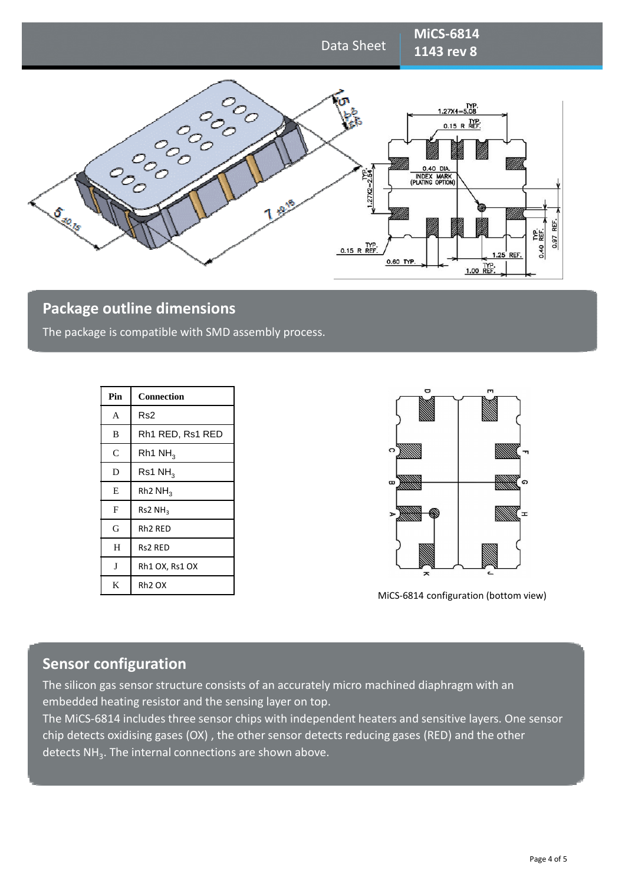

# **Package outline dimensions**

The package is compatible with SMD assembly process.

| Pin          | <b>Connection</b>               |
|--------------|---------------------------------|
| A            | Rs <sub>2</sub>                 |
| B            | Rh1 RED, Rs1 RED                |
| $\mathsf{C}$ | Rh1 $NH3$                       |
| D            | Rs1 NH <sub>3</sub>             |
| E            | Rh <sub>2</sub> NH <sub>3</sub> |
| F            | Rs2NH <sub>3</sub>              |
| G            | Rh <sub>2</sub> RED             |
| H            | <b>Rs2 RED</b>                  |
| J            | Rh1 OX, Rs1 OX                  |
| K            | Rh <sub>2</sub> OX              |



MiCS-6814 configuration (bottom view)

#### **Sensor configuration**

The silicon gas sensor structure consists of an accurately micro machined diaphragm with an embedded heating resistor and the sensing layer on top.

The MiCS-6814 includes three sensor chips with independent heaters and sensitive layers. One sensor chip detects oxidising gases (OX) , the other sensor detects reducing gases (RED) and the other detects NH<sub>3</sub>. The internal connections are shown above.